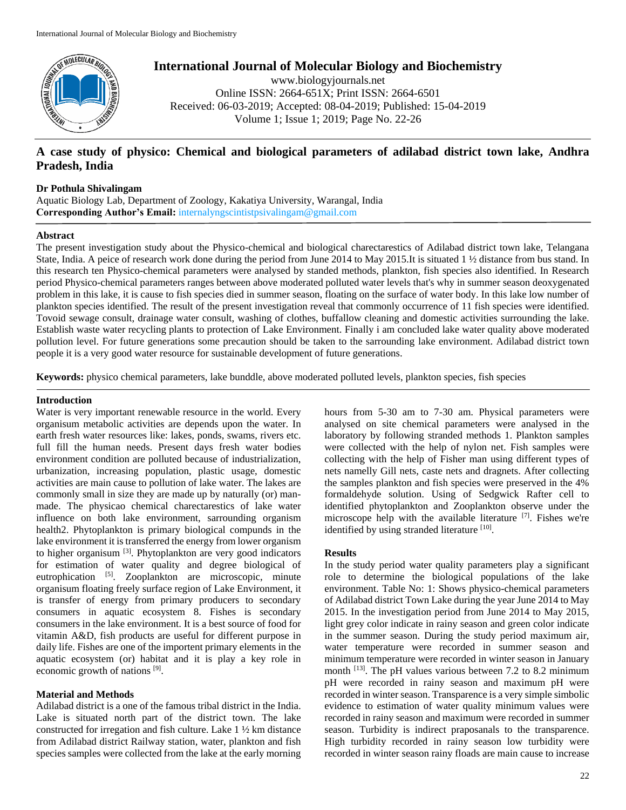

# **International Journal of Molecular Biology and Biochemistry**

www.biologyjournals.net Online ISSN: 2664-651X; Print ISSN: 2664-6501 Received: 06-03-2019; Accepted: 08-04-2019; Published: 15-04-2019 Volume 1; Issue 1; 2019; Page No. 22-26

## **A case study of physico: Chemical and biological parameters of adilabad district town lake, Andhra Pradesh, India**

## **Dr Pothula Shivalingam**

Aquatic Biology Lab, Department of Zoology, Kakatiya University, Warangal, India **Corresponding Author's Email:** internalyngscintistpsivalingam@gmail.com

#### **Abstract**

The present investigation study about the Physico-chemical and biological charectarestics of Adilabad district town lake, Telangana State, India. A peice of research work done during the period from June 2014 to May 2015.It is situated 1 ½ distance from bus stand. In this research ten Physico-chemical parameters were analysed by standed methods, plankton, fish species also identified. In Research period Physico-chemical parameters ranges between above moderated polluted water levels that's why in summer season deoxygenated problem in this lake, it is cause to fish species died in summer season, floating on the surface of water body. In this lake low number of plankton species identified. The result of the present investigation reveal that commonly occurrence of 11 fish species were identified. Tovoid sewage consult, drainage water consult, washing of clothes, buffallow cleaning and domestic activities surrounding the lake. Establish waste water recycling plants to protection of Lake Environment. Finally i am concluded lake water quality above moderated pollution level. For future generations some precaution should be taken to the sarrounding lake environment. Adilabad district town people it is a very good water resource for sustainable development of future generations.

**Keywords:** physico chemical parameters, lake bunddle, above moderated polluted levels, plankton species, fish species

#### **Introduction**

Water is very important renewable resource in the world. Every organisum metabolic activities are depends upon the water. In earth fresh water resources like: lakes, ponds, swams, rivers etc. full fill the human needs. Present days fresh water bodies environment condition are polluted because of industrialization, urbanization, increasing population, plastic usage, domestic activities are main cause to pollution of lake water. The lakes are commonly small in size they are made up by naturally (or) manmade. The physicao chemical charectarestics of lake water influence on both lake environment, sarrounding organism health2. Phytoplankton is primary biological compunds in the lake environment it is transferred the energy from lower organism to higher organisum<sup>[3]</sup>. Phytoplankton are very good indicators for estimation of water quality and degree biological of eutrophication <sup>[5]</sup>. Zooplankton are microscopic, minute organisum floating freely surface region of Lake Environment, it is transfer of energy from primary producers to secondary consumers in aquatic ecosystem 8. Fishes is secondary consumers in the lake environment. It is a best source of food for vitamin A&D, fish products are useful for different purpose in daily life. Fishes are one of the importent primary elements in the aquatic ecosystem (or) habitat and it is play a key role in economic growth of nations [9].

## **Material and Methods**

Adilabad district is a one of the famous tribal district in the India. Lake is situated north part of the district town. The lake constructed for irregation and fish culture. Lake 1 ½ km distance from Adilabad district Railway station, water, plankton and fish species samples were collected from the lake at the early morning hours from 5-30 am to 7-30 am. Physical parameters were analysed on site chemical parameters were analysed in the laboratory by following stranded methods 1. Plankton samples were collected with the help of nylon net. Fish samples were collecting with the help of Fisher man using different types of nets namelly Gill nets, caste nets and dragnets. After collecting the samples plankton and fish species were preserved in the 4% formaldehyde solution. Using of Sedgwick Rafter cell to identified phytoplankton and Zooplankton observe under the microscope help with the available literature [7]. Fishes we're identified by using stranded literature [10].

## **Results**

In the study period water quality parameters play a significant role to determine the biological populations of the lake environment. Table No: 1: Shows physico-chemical parameters of Adilabad district Town Lake during the year June 2014 to May 2015. In the investigation period from June 2014 to May 2015, light grey color indicate in rainy season and green color indicate in the summer season. During the study period maximum air, water temperature were recorded in summer season and minimum temperature were recorded in winter season in January month  $^{[13]}$ . The pH values various between 7.2 to 8.2 minimum pH were recorded in rainy season and maximum pH were recorded in winter season. Transparence is a very simple simbolic evidence to estimation of water quality minimum values were recorded in rainy season and maximum were recorded in summer season. Turbidity is indirect praposanals to the transparence. High turbidity recorded in rainy season low turbidity were recorded in winter season rainy floads are main cause to increase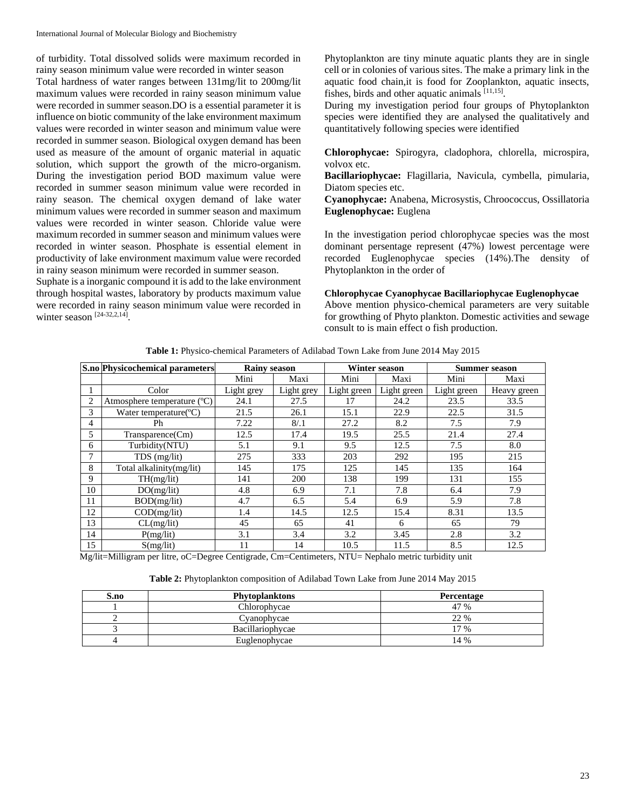of turbidity. Total dissolved solids were maximum recorded in rainy season minimum value were recorded in winter season

Total hardness of water ranges between 131mg/lit to 200mg/lit maximum values were recorded in rainy season minimum value were recorded in summer season.DO is a essential parameter it is influence on biotic community of the lake environment maximum values were recorded in winter season and minimum value were recorded in summer season. Biological oxygen demand has been used as measure of the amount of organic material in aquatic solution, which support the growth of the micro-organism. During the investigation period BOD maximum value were recorded in summer season minimum value were recorded in rainy season. The chemical oxygen demand of lake water minimum values were recorded in summer season and maximum values were recorded in winter season. Chloride value were maximum recorded in summer season and minimum values were recorded in winter season. Phosphate is essential element in productivity of lake environment maximum value were recorded in rainy season minimum were recorded in summer season.

Suphate is a inorganic compound it is add to the lake environment through hospital wastes, laboratory by products maximum value were recorded in rainy season minimum value were recorded in winter season [24-32,2,14].

Phytoplankton are tiny minute aquatic plants they are in single cell or in colonies of various sites. The make a primary link in the aquatic food chain,it is food for Zooplankton, aquatic insects, fishes, birds and other aquatic animals [11,15].

During my investigation period four groups of Phytoplankton species were identified they are analysed the qualitatively and quantitatively following species were identified

**Chlorophycae:** Spirogyra, cladophora, chlorella, microspira, volvox etc.

**Bacillariophycae:** Flagillaria, Navicula, cymbella, pimularia, Diatom species etc.

**Cyanophycae:** Anabena, Microsystis, Chroococcus, Ossillatoria **Euglenophycae:** Euglena

In the investigation period chlorophycae species was the most dominant persentage represent (47%) lowest percentage were recorded Euglenophycae species (14%).The density of Phytoplankton in the order of

#### **Chlorophycae Cyanophycae Bacillariophycae Euglenophycae**

Above mention physico-chemical parameters are very suitable for growthing of Phyto plankton. Domestic activities and sewage consult to is main effect o fish production.

| <b>Table 1:</b> Physico-chemical Parameters of Adilabad Town Lake from June 2014 May 2015 |  |
|-------------------------------------------------------------------------------------------|--|
|-------------------------------------------------------------------------------------------|--|

|    | S.no Physicochemical parameters    | <b>Rainv season</b> |            | Winter season |             | <b>Summer season</b> |             |
|----|------------------------------------|---------------------|------------|---------------|-------------|----------------------|-------------|
|    |                                    | Mini                | Maxi       | Mini          | Maxi        | Mini                 | Maxi        |
|    | Color                              | Light grey          | Light grey | Light green   | Light green | Light green          | Heavy green |
| 2  | Atmosphere temperature (°C)        | 24.1                | 27.5       | 17            | 24.2        | 23.5                 | 33.5        |
| 3  | Water temperature( ${}^{\circ}$ C) | 21.5                | 26.1       | 15.1          | 22.9        | 22.5                 | 31.5        |
| 4  | Ph                                 | 7.22                | 8/1        | 27.2          | 8.2         | 7.5                  | 7.9         |
| 5  | Transparence(Cm)                   | 12.5                | 17.4       | 19.5          | 25.5        | 21.4                 | 27.4        |
| 6  | Turbidity(NTU)                     | 5.1                 | 9.1        | 9.5           | 12.5        | 7.5                  | 8.0         |
| 7  | $TDS$ (mg/lit)                     | 275                 | 333        | 203           | 292         | 195                  | 215         |
| 8  | Total alkalinity(mg/lit)           | 145                 | 175        | 125           | 145         | 135                  | 164         |
| 9  | TH(mg/lit)                         | 141                 | 200        | 138           | 199         | 131                  | 155         |
| 10 | DO(mg/lit)                         | 4.8                 | 6.9        | 7.1           | 7.8         | 6.4                  | 7.9         |
| 11 | BOD(mg/lit)                        | 4.7                 | 6.5        | 5.4           | 6.9         | 5.9                  | 7.8         |
| 12 | $\text{COD}(\text{mg}/\text{lit})$ | 1.4                 | 14.5       | 12.5          | 15.4        | 8.31                 | 13.5        |
| 13 | CL(mg/lit)                         | 45                  | 65         | 41            | 6           | 65                   | 79          |
| 14 | P(mg/lit)                          | 3.1                 | 3.4        | 3.2           | 3.45        | 2.8                  | 3.2         |
| 15 | S(mg/lit)                          | 11                  | 14         | 10.5          | 11.5        | 8.5                  | 12.5        |

Mg/lit=Milligram per litre, oC=Degree Centigrade, Cm=Centimeters, NTU= Nephalo metric turbidity unit

| Table 2: Phytoplankton composition of Adilabad Town Lake from June 2014 May 2015 |  |  |  |
|----------------------------------------------------------------------------------|--|--|--|
|----------------------------------------------------------------------------------|--|--|--|

| S.no | <b>Phytoplanktons</b> | Percentage |
|------|-----------------------|------------|
|      | Chlorophycae          | 47 %       |
|      | Cyanophycae           | 22 %       |
|      | Bacillariophycae      | $7\%$      |
|      | Euglenophycae         | 14 %       |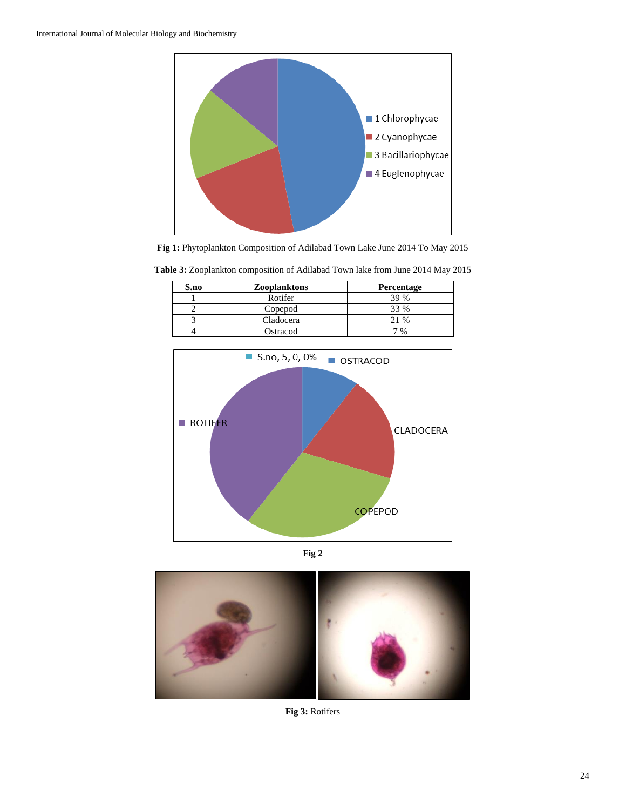

**Fig 1:** Phytoplankton Composition of Adilabad Town Lake June 2014 To May 2015

| S.no | Zooplanktons | <b>Percentage</b> |  |
|------|--------------|-------------------|--|
|      | Rotifer      | 39 %              |  |
|      | Copepod      | 33 %              |  |
|      | Cladocera    | 21 %              |  |
|      | Ostracod     | 7 %               |  |

**Table 3:** Zooplankton composition of Adilabad Town lake from June 2014 May 2015







**Fig 3:** Rotifers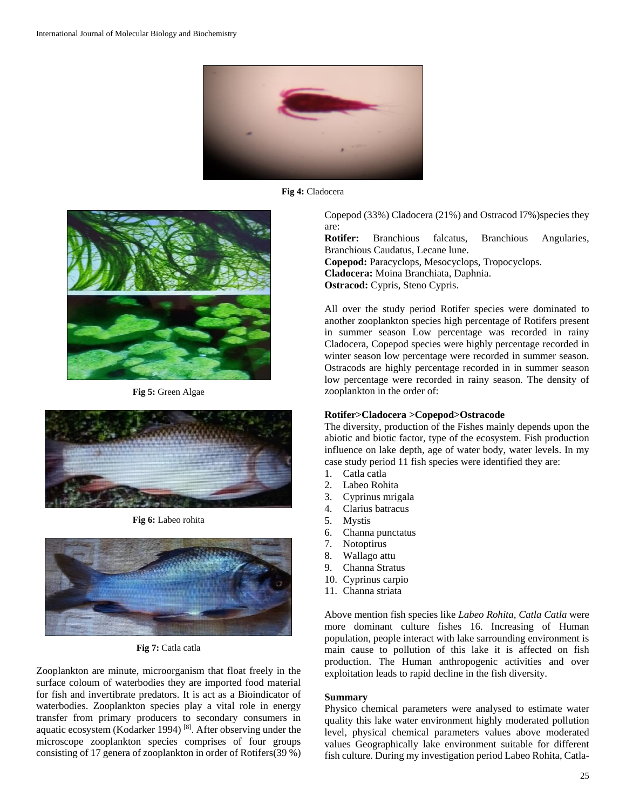

**Fig 4:** Cladocera



**Fig 5:** Green Algae



**Fig 6:** Labeo rohita



**Fig 7:** Catla catla

Zooplankton are minute, microorganism that float freely in the surface coloum of waterbodies they are imported food material for fish and invertibrate predators. It is act as a Bioindicator of waterbodies. Zooplankton species play a vital role in energy transfer from primary producers to secondary consumers in aquatic ecosystem (Kodarker 1994)<sup>[8]</sup>. After observing under the microscope zooplankton species comprises of four groups consisting of 17 genera of zooplankton in order of Rotifers(39 %) Copepod (33%) Cladocera (21%) and Ostracod I7%)species they are: **Rotifer:** Branchious falcatus, Branchious Angularies, Branchious Caudatus, Lecane lune.

**Copepod:** Paracyclops, Mesocyclops, Tropocyclops. **Cladocera:** Moina Branchiata, Daphnia. **Ostracod:** Cypris, Steno Cypris.

All over the study period Rotifer species were dominated to another zooplankton species high percentage of Rotifers present in summer season Low percentage was recorded in rainy Cladocera, Copepod species were highly percentage recorded in winter season low percentage were recorded in summer season. Ostracods are highly percentage recorded in in summer season low percentage were recorded in rainy season. The density of zooplankton in the order of:

#### **Rotifer>Cladocera >Copepod>Ostracode**

The diversity, production of the Fishes mainly depends upon the abiotic and biotic factor, type of the ecosystem. Fish production influence on lake depth, age of water body, water levels. In my case study period 11 fish species were identified they are:

- 1. Catla catla
- 2. Labeo Rohita
- 3. Cyprinus mrigala
- 4. Clarius batracus
- 5. Mystis
- 6. Channa punctatus
- 7. Notoptirus
- 8. Wallago attu
- 9. Channa Stratus
- 10. Cyprinus carpio
- 11. Channa striata

Above mention fish species like *Labeo Rohita, Catla Catla* were more dominant culture fishes 16. Increasing of Human population, people interact with lake sarrounding environment is main cause to pollution of this lake it is affected on fish production. The Human anthropogenic activities and over exploitation leads to rapid decline in the fish diversity.

### **Summary**

Physico chemical parameters were analysed to estimate water quality this lake water environment highly moderated pollution level, physical chemical parameters values above moderated values Geographically lake environment suitable for different fish culture. During my investigation period Labeo Rohita, Catla